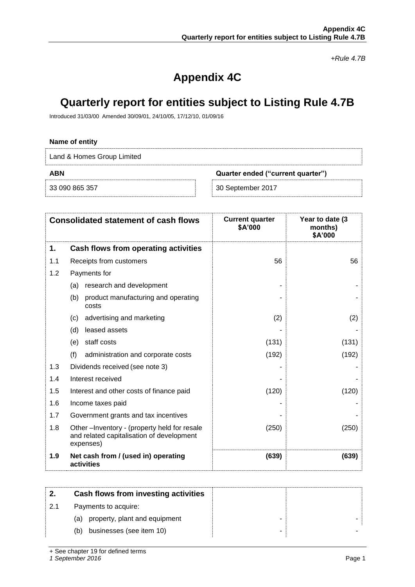*+Rule 4.7B*

# **Appendix 4C**

# **Quarterly report for entities subject to Listing Rule 4.7B**

Introduced 31/03/00 Amended 30/09/01, 24/10/05, 17/12/10, 01/09/16

## **Name of entity**

Land & Homes Group Limited

33 090 865 357

### **ABN Quarter ended ("current quarter")**

| 30 September 2017 |  |
|-------------------|--|
|-------------------|--|

|     | <b>Consolidated statement of cash flows</b>                                                           | <b>Current quarter</b><br>\$A'000 | Year to date (3<br>months)<br>\$A'000 |
|-----|-------------------------------------------------------------------------------------------------------|-----------------------------------|---------------------------------------|
| 1.  | Cash flows from operating activities                                                                  |                                   |                                       |
| 1.1 | Receipts from customers                                                                               | 56                                | 56                                    |
| 1.2 | Payments for                                                                                          |                                   |                                       |
|     | research and development<br>(a)                                                                       |                                   |                                       |
|     | (b)<br>product manufacturing and operating<br>costs                                                   |                                   |                                       |
|     | advertising and marketing<br>(c)                                                                      | (2)                               | (2)                                   |
|     | leased assets<br>(d)                                                                                  |                                   |                                       |
|     | staff costs<br>(e)                                                                                    | (131)                             | (131)                                 |
|     | (f)<br>administration and corporate costs                                                             | (192)                             | (192)                                 |
| 1.3 | Dividends received (see note 3)                                                                       |                                   |                                       |
| 1.4 | Interest received                                                                                     |                                   |                                       |
| 1.5 | Interest and other costs of finance paid                                                              | (120)                             | (120)                                 |
| 1.6 | Income taxes paid                                                                                     |                                   |                                       |
| 1.7 | Government grants and tax incentives                                                                  |                                   |                                       |
| 1.8 | Other-Inventory - (property held for resale<br>and related capitalisation of development<br>expenses) | (250)                             | (250)                                 |
| 1.9 | Net cash from / (used in) operating<br>activities                                                     | (639)                             | (639)                                 |

|     | Cash flows from investing activities |  |
|-----|--------------------------------------|--|
| 2.1 | Payments to acquire:                 |  |
|     | property, plant and equipment<br>(a) |  |
|     | businesses (see item 10)<br>(b)      |  |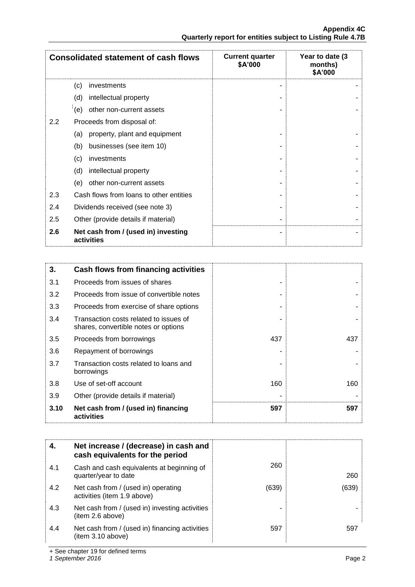|               | <b>Consolidated statement of cash flows</b>       | <b>Current quarter</b><br>\$A'000 | Year to date (3<br>months)<br>\$A'000 |
|---------------|---------------------------------------------------|-----------------------------------|---------------------------------------|
|               | (c)<br>investments                                |                                   |                                       |
|               | intellectual property<br>(d)                      |                                   |                                       |
|               | (e)<br>other non-current assets                   |                                   |                                       |
| $2.2^{\circ}$ | Proceeds from disposal of:                        |                                   |                                       |
|               | property, plant and equipment<br>(a)              |                                   |                                       |
|               | businesses (see item 10)<br>(b)                   |                                   |                                       |
|               | (c)<br>investments                                |                                   |                                       |
|               | (d)<br>intellectual property                      |                                   |                                       |
|               | (e)<br>other non-current assets                   |                                   |                                       |
| 2.3           | Cash flows from loans to other entities           |                                   |                                       |
| 2.4           | Dividends received (see note 3)                   |                                   |                                       |
| 2.5           | Other (provide details if material)               |                                   |                                       |
| 2.6           | Net cash from / (used in) investing<br>activities |                                   |                                       |

| 3.   | Cash flows from financing activities                                           |     |     |
|------|--------------------------------------------------------------------------------|-----|-----|
| 3.1  | Proceeds from issues of shares                                                 |     |     |
| 3.2  | Proceeds from issue of convertible notes                                       |     |     |
| 3.3  | Proceeds from exercise of share options                                        |     |     |
| 3.4  | Transaction costs related to issues of<br>shares, convertible notes or options |     |     |
| 3.5  | Proceeds from borrowings                                                       | 437 | 437 |
| 3.6  | Repayment of borrowings                                                        |     |     |
| 3.7  | Transaction costs related to loans and<br>borrowings                           |     |     |
| 3.8  | Use of set-off account                                                         | 160 | 160 |
| 3.9  | Other (provide details if material)                                            |     |     |
| 3.10 | Net cash from / (used in) financing<br>activities                              | 597 | 597 |

| 4.  | Net increase / (decrease) in cash and<br>cash equivalents for the period |       |       |
|-----|--------------------------------------------------------------------------|-------|-------|
| 4.1 | Cash and cash equivalents at beginning of<br>quarter/year to date        | 260   | 260   |
| 4.2 | Net cash from / (used in) operating<br>activities (item 1.9 above)       | (639) | (639) |
| 4.3 | Net cash from / (used in) investing activities<br>(item 2.6 above)       |       |       |
| 4.4 | Net cash from / (used in) financing activities<br>(item 3.10 above)      | 597   | 597   |

+ See chapter 19 for defined terms

*1 September 2016* Page 2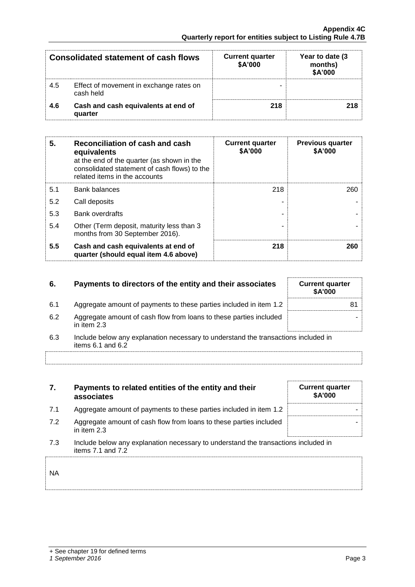|     | Consolidated statement of cash flows                 | <b>Current quarter</b><br>\$A'000 | Year to date (3)<br>months)<br>\$A'000 |
|-----|------------------------------------------------------|-----------------------------------|----------------------------------------|
| 4.5 | Effect of movement in exchange rates on<br>cash held |                                   |                                        |
| 4.6 | Cash and cash equivalents at end of<br>quarter       | 218                               |                                        |

| 5.  | Reconciliation of cash and cash<br>equivalents<br>at the end of the quarter (as shown in the<br>consolidated statement of cash flows) to the<br>related items in the accounts | <b>Current quarter</b><br>\$A'000 | <b>Previous quarter</b><br>\$A'000 |
|-----|-------------------------------------------------------------------------------------------------------------------------------------------------------------------------------|-----------------------------------|------------------------------------|
| 5.1 | <b>Bank balances</b>                                                                                                                                                          | 218                               | 260                                |
| 5.2 | Call deposits                                                                                                                                                                 |                                   |                                    |
| 5.3 | <b>Bank overdrafts</b>                                                                                                                                                        |                                   |                                    |
| 5.4 | Other (Term deposit, maturity less than 3<br>months from 30 September 2016).                                                                                                  |                                   |                                    |
| 5.5 | Cash and cash equivalents at end of<br>quarter (should equal item 4.6 above)                                                                                                  | 218                               | 260                                |

| 6.  | Payments to directors of the entity and their associates                                            | <b>Current quarter</b><br>\$A'000 |
|-----|-----------------------------------------------------------------------------------------------------|-----------------------------------|
| 6.1 | Aggregate amount of payments to these parties included in item 1.2                                  | 81                                |
| 6.2 | Aggregate amount of cash flow from loans to these parties included<br>in item 2.3                   |                                   |
| 6.3 | Include below any explanation necessary to understand the transactions included in<br>$\frac{1}{2}$ |                                   |

items 6.1 and 6.2

| 7.        | Payments to related entities of the entity and their<br>associates                                          | <b>Current quarter</b><br><b>\$A'000</b> |
|-----------|-------------------------------------------------------------------------------------------------------------|------------------------------------------|
| 7.1       | Aggregate amount of payments to these parties included in item 1.2                                          |                                          |
| 7.2       | Aggregate amount of cash flow from loans to these parties included<br>in item 2.3                           |                                          |
| 7.3       | Include below any explanation necessary to understand the transactions included in<br>items $7.1$ and $7.2$ |                                          |
| <b>NA</b> |                                                                                                             |                                          |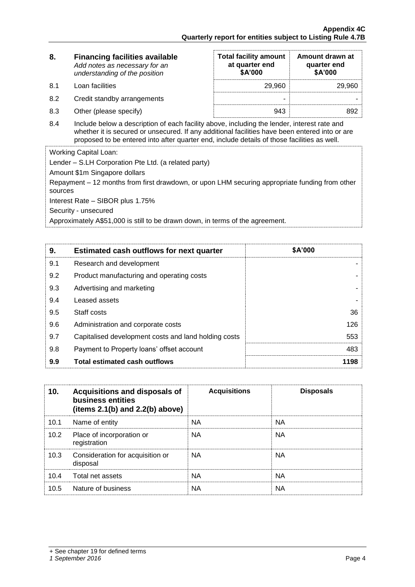| 8.  | <b>Financing facilities available</b><br>Add notes as necessary for an<br>understanding of the position                                                                                                                                                                                      | <b>Total facility amount</b><br>at quarter end<br><b>\$A'000</b> | Amount drawn at<br>quarter end<br>\$A'000 |
|-----|----------------------------------------------------------------------------------------------------------------------------------------------------------------------------------------------------------------------------------------------------------------------------------------------|------------------------------------------------------------------|-------------------------------------------|
| 8.1 | Loan facilities                                                                                                                                                                                                                                                                              | 29,960                                                           | 29.960                                    |
| 8.2 | Credit standby arrangements                                                                                                                                                                                                                                                                  | ۰                                                                |                                           |
| 8.3 | Other (please specify)                                                                                                                                                                                                                                                                       | 943                                                              | 892                                       |
| 8.4 | Include below a description of each facility above, including the lender, interest rate and<br>whether it is secured or unsecured. If any additional facilities have been entered into or are<br>proposed to be entered into after quarter end, include details of those facilities as well. |                                                                  |                                           |
|     | $\mathbf{u}$                                                                                                                                                                                                                                                                                 |                                                                  |                                           |

Working Capital Loan:

Lender – S.LH Corporation Pte Ltd. (a related party)

Amount \$1m Singapore dollars

Repayment – 12 months from first drawdown, or upon LHM securing appropriate funding from other sources

Interest Rate – SIBOR plus 1.75%

Security - unsecured

Approximately A\$51,000 is still to be drawn down, in terms of the agreement.

| 9.  | <b>Estimated cash outflows for next quarter</b>      | \$A'000 |
|-----|------------------------------------------------------|---------|
| 9.1 | Research and development                             |         |
| 9.2 | Product manufacturing and operating costs            |         |
| 9.3 | Advertising and marketing                            |         |
| 9.4 | Leased assets                                        |         |
| 9.5 | Staff costs                                          | 36      |
| 9.6 | Administration and corporate costs                   | 126     |
| 9.7 | Capitalised development costs and land holding costs | 553     |
| 9.8 | Payment to Property loans' offset account            | 483     |
| 9.9 | <b>Total estimated cash outflows</b>                 | 1198    |

| 10.  | Acquisitions and disposals of<br>business entities<br>(items $2.1(b)$ and $2.2(b)$ above) | <b>Acquisitions</b> | <b>Disposals</b> |
|------|-------------------------------------------------------------------------------------------|---------------------|------------------|
| 10.1 | Name of entity                                                                            | ΝA                  | NА               |
| 10.2 | Place of incorporation or<br>registration                                                 | NA.                 | NA.              |
| 10.3 | Consideration for acquisition or<br>disposal                                              | <b>NA</b>           | <b>NA</b>        |
| 10.4 | Total net assets                                                                          | <b>NA</b>           | <b>NA</b>        |
| 10.5 | Nature of business                                                                        | ΝA                  | <b>NA</b>        |